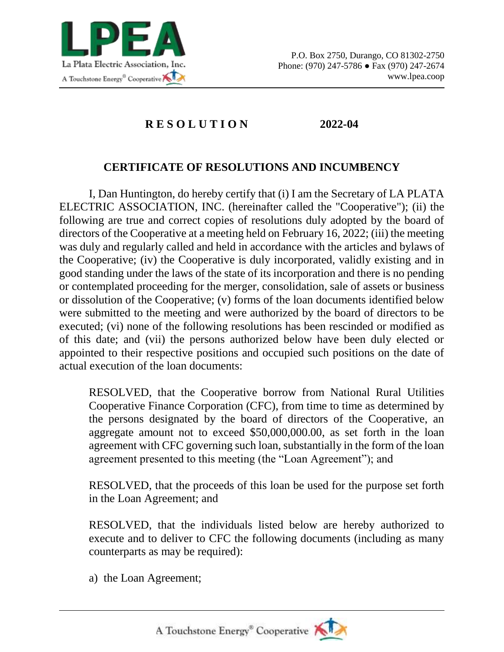

## **R E S O L U T I O N 2022-04**

## **CERTIFICATE OF RESOLUTIONS AND INCUMBENCY**

I, Dan Huntington, do hereby certify that (i) I am the Secretary of LA PLATA ELECTRIC ASSOCIATION, INC. (hereinafter called the "Cooperative"); (ii) the following are true and correct copies of resolutions duly adopted by the board of directors of the Cooperative at a meeting held on February 16, 2022; (iii) the meeting was duly and regularly called and held in accordance with the articles and bylaws of the Cooperative; (iv) the Cooperative is duly incorporated, validly existing and in good standing under the laws of the state of its incorporation and there is no pending or contemplated proceeding for the merger, consolidation, sale of assets or business or dissolution of the Cooperative; (v) forms of the loan documents identified below were submitted to the meeting and were authorized by the board of directors to be executed; (vi) none of the following resolutions has been rescinded or modified as of this date; and (vii) the persons authorized below have been duly elected or appointed to their respective positions and occupied such positions on the date of actual execution of the loan documents:

RESOLVED, that the Cooperative borrow from National Rural Utilities Cooperative Finance Corporation (CFC), from time to time as determined by the persons designated by the board of directors of the Cooperative, an aggregate amount not to exceed \$50,000,000.00, as set forth in the loan agreement with CFC governing such loan, substantially in the form of the loan agreement presented to this meeting (the "Loan Agreement"); and

RESOLVED, that the proceeds of this loan be used for the purpose set forth in the Loan Agreement; and

RESOLVED, that the individuals listed below are hereby authorized to execute and to deliver to CFC the following documents (including as many counterparts as may be required):

a) the Loan Agreement;